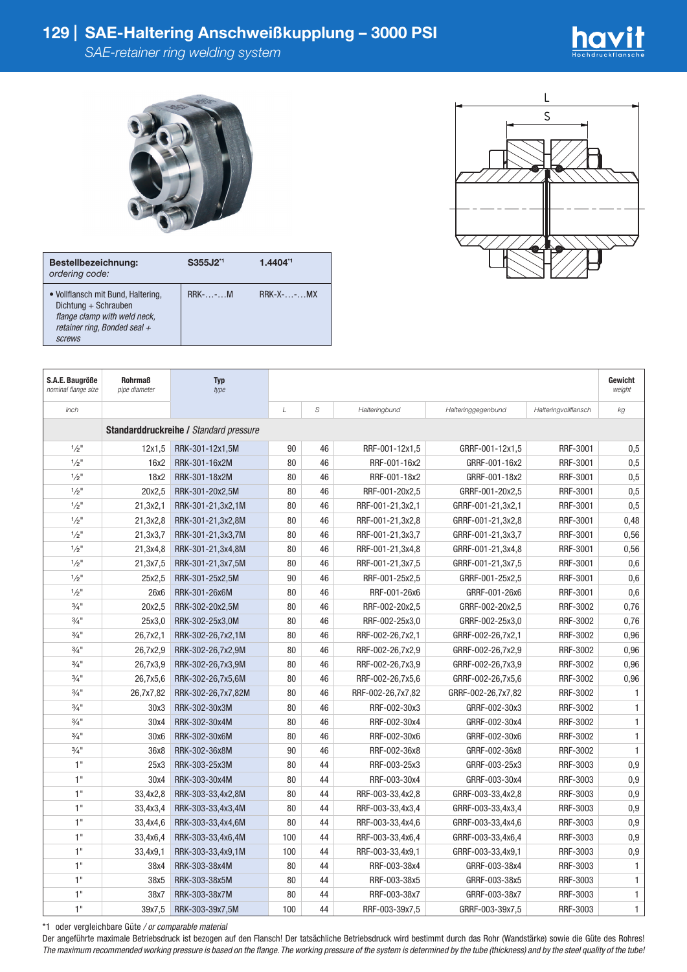

L S



| IX |  |
|----|--|
|    |  |

| Bestellbezeichnung:<br>ordering code:                                                                                                  | S355J2 <sup>*1</sup>          | $1.4404^{11}$   |
|----------------------------------------------------------------------------------------------------------------------------------------|-------------------------------|-----------------|
| • Vollflansch mit Bund, Haltering,<br>Dichtung + Schrauben<br>flange clamp with weld neck,<br>retainer ring, Bonded seal $+$<br>screws | $RRK$ - $\ldots$ - $\ldots$ M | $RRK-X$ - $-MX$ |

| S.A.E. Baugröße<br>nominal flange size | <b>Rohrmaß</b><br>pipe diameter        | <b>Typ</b><br>type |     |    |                   |                    |                      | Gewicht<br>weight |  |  |
|----------------------------------------|----------------------------------------|--------------------|-----|----|-------------------|--------------------|----------------------|-------------------|--|--|
| Inch                                   |                                        |                    | L   | S  | Halteringbund     | Halteringgegenbund | Halteringvollflansch | kg                |  |  |
|                                        | Standarddruckreihe / Standard pressure |                    |     |    |                   |                    |                      |                   |  |  |
| $1/2$ "                                | 12x1,5                                 | RRK-301-12x1,5M    | 90  | 46 | RRF-001-12x1,5    | GRRF-001-12x1.5    | RRF-3001             | 0,5               |  |  |
| $1/2$ "                                | 16x2                                   | RRK-301-16x2M      | 80  | 46 | RRF-001-16x2      | GRRF-001-16x2      | RRF-3001             | 0,5               |  |  |
| $1/2$ "                                | 18x2                                   | RRK-301-18x2M      | 80  | 46 | RRF-001-18x2      | GRRF-001-18x2      | RRF-3001             | 0,5               |  |  |
| $1/2$ <sup>11</sup>                    | 20x2,5                                 | RRK-301-20x2,5M    | 80  | 46 | RRF-001-20x2,5    | GRRF-001-20x2,5    | RRF-3001             | 0,5               |  |  |
| $\frac{1}{2}$ "                        | 21,3x2,1                               | RRK-301-21,3x2,1M  | 80  | 46 | RRF-001-21,3x2,1  | GRRF-001-21,3x2,1  | RRF-3001             | 0,5               |  |  |
| $\frac{1}{2}$ "                        | 21,3x2,8                               | RRK-301-21,3x2,8M  | 80  | 46 | RRF-001-21,3x2,8  | GRRF-001-21,3x2,8  | RRF-3001             | 0,48              |  |  |
| $1/2$ "                                | 21,3x3,7                               | RRK-301-21,3x3,7M  | 80  | 46 | RRF-001-21,3x3,7  | GRRF-001-21,3x3,7  | RRF-3001             | 0,56              |  |  |
| $1/2$ "                                | 21,3x4,8                               | RRK-301-21,3x4,8M  | 80  | 46 | RRF-001-21,3x4,8  | GRRF-001-21,3x4,8  | RRF-3001             | 0,56              |  |  |
| $1/2$ "                                | 21,3x7,5                               | RRK-301-21,3x7,5M  | 80  | 46 | RRF-001-21,3x7,5  | GRRF-001-21,3x7,5  | RRF-3001             | 0,6               |  |  |
| $1/2$ "                                | 25x2,5                                 | RRK-301-25x2,5M    | 90  | 46 | RRF-001-25x2,5    | GRRF-001-25x2,5    | RRF-3001             | 0,6               |  |  |
| $1/2$ "                                | 26x6                                   | RRK-301-26x6M      | 80  | 46 | RRF-001-26x6      | GRRF-001-26x6      | RRF-3001             | 0,6               |  |  |
| $3/4$ "                                | 20x2,5                                 | RRK-302-20x2,5M    | 80  | 46 | RRF-002-20x2,5    | GRRF-002-20x2,5    | RRF-3002             | 0,76              |  |  |
| $3/4$ <sup>11</sup>                    | 25x3,0                                 | RRK-302-25x3,0M    | 80  | 46 | RRF-002-25x3,0    | GRRF-002-25x3,0    | RRF-3002             | 0,76              |  |  |
| $\frac{3}{4}$ "                        | 26,7x2,1                               | RRK-302-26,7x2,1M  | 80  | 46 | RRF-002-26,7x2,1  | GRRF-002-26,7x2,1  | RRF-3002             | 0,96              |  |  |
| $\frac{3}{4}$ "                        | 26,7x2,9                               | RRK-302-26,7x2,9M  | 80  | 46 | RRF-002-26,7x2,9  | GRRF-002-26,7x2,9  | RRF-3002             | 0,96              |  |  |
| $\frac{3}{4}$ "                        | 26,7x3,9                               | RRK-302-26,7x3,9M  | 80  | 46 | RRF-002-26,7x3,9  | GRRF-002-26,7x3,9  | RRF-3002             | 0,96              |  |  |
| $3/4$ "                                | 26,7x5,6                               | RRK-302-26,7x5,6M  | 80  | 46 | RRF-002-26,7x5,6  | GRRF-002-26,7x5,6  | RRF-3002             | 0,96              |  |  |
| $3/4$ <sup>11</sup>                    | 26,7x7,82                              | RRK-302-26,7x7,82M | 80  | 46 | RRF-002-26,7x7,82 | GRRF-002-26,7x7,82 | RRF-3002             | 1                 |  |  |
| $\frac{3}{4}$ "                        | 30x3                                   | RRK-302-30x3M      | 80  | 46 | RRF-002-30x3      | GRRF-002-30x3      | RRF-3002             | 1                 |  |  |
| $\frac{3}{4}$ "                        | 30x4                                   | RRK-302-30x4M      | 80  | 46 | RRF-002-30x4      | GRRF-002-30x4      | RRF-3002             | $\mathbf{1}$      |  |  |
| $3/4$ <sup>11</sup>                    | 30x6                                   | RRK-302-30x6M      | 80  | 46 | RRF-002-30x6      | GRRF-002-30x6      | RRF-3002             | $\mathbf{1}$      |  |  |
| $3/4$ <sup>11</sup>                    | 36x8                                   | RRK-302-36x8M      | 90  | 46 | RRF-002-36x8      | GRRF-002-36x8      | RRF-3002             | $\mathbf{1}$      |  |  |
| 1"                                     | 25x3                                   | RRK-303-25x3M      | 80  | 44 | RRF-003-25x3      | GRRF-003-25x3      | RRF-3003             | 0,9               |  |  |
| 1"                                     | 30x4                                   | RRK-303-30x4M      | 80  | 44 | RRF-003-30x4      | GRRF-003-30x4      | RRF-3003             | 0.9               |  |  |
| 1"                                     | 33,4x2,8                               | RRK-303-33,4x2,8M  | 80  | 44 | RRF-003-33,4x2,8  | GRRF-003-33,4x2,8  | RRF-3003             | 0.9               |  |  |
| 1"                                     | 33,4x3,4                               | RRK-303-33,4x3,4M  | 80  | 44 | RRF-003-33,4x3,4  | GRRF-003-33,4x3,4  | RRF-3003             | 0.9               |  |  |
| 1"                                     | 33,4x4,6                               | RRK-303-33,4x4,6M  | 80  | 44 | RRF-003-33,4x4,6  | GRRF-003-33,4x4,6  | RRF-3003             | 0,9               |  |  |
| 1"                                     | 33,4x6,4                               | RRK-303-33,4x6,4M  | 100 | 44 | RRF-003-33,4x6,4  | GRRF-003-33,4x6,4  | RRF-3003             | 0,9               |  |  |
| 1"                                     | 33,4x9,1                               | RRK-303-33,4x9,1M  | 100 | 44 | RRF-003-33,4x9,1  | GRRF-003-33,4x9,1  | RRF-3003             | 0,9               |  |  |
| 1"                                     | 38x4                                   | RRK-303-38x4M      | 80  | 44 | RRF-003-38x4      | GRRF-003-38x4      | RRF-3003             | 1                 |  |  |
| 1"                                     | 38x5                                   | RRK-303-38x5M      | 80  | 44 | RRF-003-38x5      | GRRF-003-38x5      | RRF-3003             | $\mathbf{1}$      |  |  |
| 1"                                     | 38x7                                   | RRK-303-38x7M      | 80  | 44 | RRF-003-38x7      | GRRF-003-38x7      | RRF-3003             | 1                 |  |  |
| 1"                                     | 39x7,5                                 | RRK-303-39x7,5M    | 100 | 44 | RRF-003-39x7,5    | GRRF-003-39x7.5    | RRF-3003             | $\mathbf{1}$      |  |  |

\*1 oder vergleichbare Güte */ or comparable material*

Der angeführte maximale Betriebsdruck ist bezogen auf den Flansch! Der tatsächliche Betriebsdruck wird bestimmt durch das Rohr (Wandstärke) sowie die Güte des Rohres! *The maximum recommended working pressure is based on the flange. The working pressure of the system is determined by the tube (thickness) and by the steel quality of the tube!*